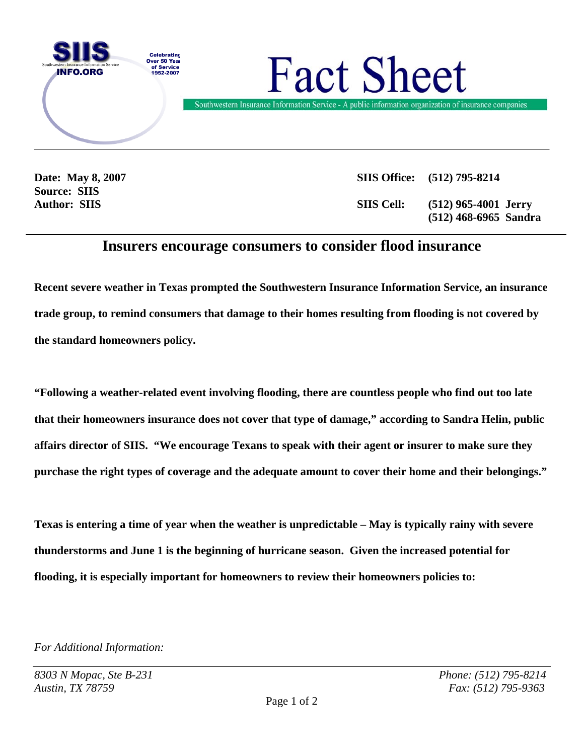

**Source: SIIS** 

**Date: May 8, 2007 SIIS Office: (512) 795-8214 Author: SIIS SIIS Cell: (512) 965-4001 Jerry (512) 468-6965 Sandra** 

## **Insurers encourage consumers to consider flood insurance**

**Recent severe weather in Texas prompted the Southwestern Insurance Information Service, an insurance trade group, to remind consumers that damage to their homes resulting from flooding is not covered by the standard homeowners policy.** 

**"Following a weather-related event involving flooding, there are countless people who find out too late that their homeowners insurance does not cover that type of damage," according to Sandra Helin, public affairs director of SIIS. "We encourage Texans to speak with their agent or insurer to make sure they purchase the right types of coverage and the adequate amount to cover their home and their belongings."** 

**Texas is entering a time of year when the weather is unpredictable – May is typically rainy with severe thunderstorms and June 1 is the beginning of hurricane season. Given the increased potential for flooding, it is especially important for homeowners to review their homeowners policies to:** 

*For Additional Information:*